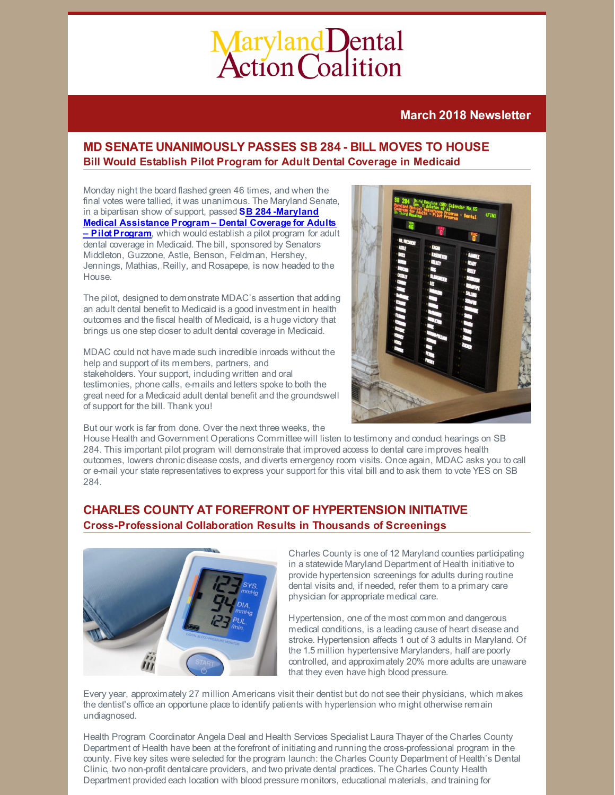# Maryland Dental<br>Action Coalition

# **March 2018 Newsletter**

# **MD SENATE UNANIMOUSLY PASSES SB 284 - BILL MOVES TO HOUSE Bill Would Establish Pilot Program for Adult Dental Coverage in Medicaid**

Monday night the board flashed green 46 times, and when the final votes were tallied, it was unanimous. The Maryland Senate, in a bipartisan show of support, passed **SB 284 -Maryland Medical [Assistance](https://legiscan.com/MD/text/SB284/id/1763545) Program – Dental Coverage for Adults – Pilot Program**, which would establish a pilot program for adult dental coverage in Medicaid. The bill, sponsored by Senators Middleton, Guzzone, Astle, Benson, Feldman, Hershey, Jennings, Mathias, Reilly, and Rosapepe, is now headed to the House.

The pilot, designed to demonstrate MDAC's assertion that adding an adult dental benefit to Medicaid is a good investment in health outcomes and the fiscal health of Medicaid, is a huge victory that brings us one step closer to adult dental coverage in Medicaid.

MDAC could not have made such incredible inroads without the help and support of its members, partners, and stakeholders. Your support, including written and oral testimonies, phone calls, e-mails and letters spoke to both the great need for a Medicaid adult dental benefit and the groundswell of support for the bill. Thank you!



But our work is far from done. Over the next three weeks, the

House Health and Government Operations Committee will listen to testimony and conduct hearings on SB 284. This important pilot program will demonstrate that improved access to dental care improves health outcomes, lowers chronic disease costs, and diverts emergency room visits. Once again, MDAC asks you to call or e-mail your state representatives to express your support for this vital bill and to ask them to vote YES on SB 284.

# **CHARLES COUNTY AT FOREFRONT OF HYPERTENSION INITIATIVE Cross-Professional Collaboration Results in Thousands of Screenings**



Charles County is one of 12 Maryland counties participating in a statewide Maryland Department of Health initiative to provide hypertension screenings for adults during routine dental visits and, if needed, refer them to a primary care physician for appropriate medical care.

Hypertension, one of the most common and dangerous medical conditions, is a leading cause of heart disease and stroke. Hypertension affects 1 out of 3 adults in Maryland. Of the 1.5 million hypertensive Marylanders, half are poorly controlled, and approximately 20% more adults are unaware that they even have high blood pressure.

Every year, approximately 27 million Americans visit their dentist but do not see their physicians, which makes the dentist's office an opportune place to identify patients with hypertension who might otherwise remain undiagnosed.

Health Program Coordinator Angela Deal and Health Services Specialist Laura Thayer of the Charles County Department of Health have been at the forefront of initiating and running the cross-professional program in the county. Five key sites were selected for the program launch: the Charles County Department of Health's Dental Clinic, two non-profit dentalcare providers, and two private dental practices. The Charles County Health Department provided each location with blood pressure monitors, educational materials, and training for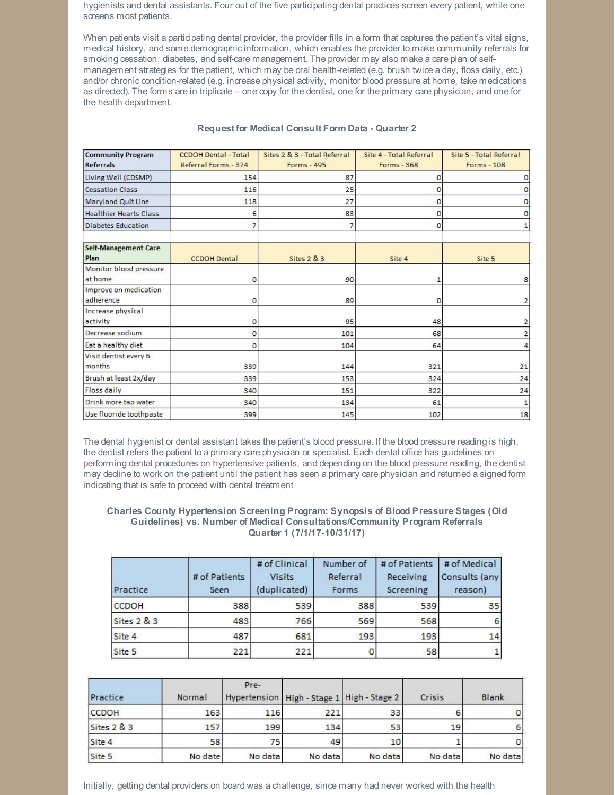hygienists and dental assistants. Four out of the five participating dental practices screen every patient, while one screens most patients.

When patients visit a participating dental provider, the provider fills in a form that captures the patient's vital signs, medical history, and some demographicinformation, which enables the provider to make community referrals for smoking cessation, diabetes, and self-care management. The provider may also make a care plan of selfmanagement strategies for the patient, which may be oral health-related (e.g. brush twice a day, floss daily, etc.) and/or chronic condition-related (e.g. increase physical activity, monitor blood pressure at home, take medications as directed). The forms are in triplicate – one copy for the dentist, one for the primary care physician, and one for the health department.

#### **Community Program CCDOH Dental - Total** Sites 2 & 3 - Total Referral Site 4 - Total Referral Site 5 - Total Referral **Referrals** Referral Forms - 374  $Forms - 495$ Forms - 368  $Forms - 108$ Living Well (CDSMP) 154 87  $\circ$ o 116  $25$  $\circ$ o **Cessation Class** Maryland Quit Line 118  $27$  $\mathbf 0$  $\mathsf{o}$ o **Healthier Hearts Class** 6 83  $\overline{0}$ **Diabetes Education**  $\overline{7}$  $\overline{7}$  $\circ$  $\overline{1}$ Self-Management Care Plan **CCDOH Dental** Sites 2 & 3 Site 4 Site 5 Monitor blood pressure at home  $\Omega$ 90 8  $\overline{1}$ Improve on medication adherence  $\overline{0}$  $\circ$ 89  $\overline{2}$ Increase physical activity 48 95  $\overline{\mathbf{c}}$  $\circ$ Decrease sodium  $\circ$ 101 68  $\overline{\mathbf{c}}$ Eat a healthy diet  $\circ$ 104 64 4 Visit dentist every 6 months 339 144 321 21 Brush at least 2x/day 339 153 324 24 Floss daily 340 151 322  $24$ Drink more tap water 340 61  $\mathbf{1}$ 134 Use fluoride toothpaste 145 102  $18$ 399

#### **Request for Medical Consult Form Data - Quarter 2**

The dental hygienist or dental assistant takes the patient's blood pressure. If the blood pressure reading is high, the dentist refers the patient to a primary care physician or specialist. Each dental office has guidelines on performing dental procedures on hypertensive patients, and depending on the blood pressure reading, the dentist may decline to work on the patient until the patient has seen a primary care physician and returned a signed form indicating that is safe to proceed with dental treatment

#### **Charles County Hypertension Screening Program: Synopsis of Blood Pressure Stages (Old Guidelines) vs. Number of Medical Consultations/Community Program Referrals Quarter 1 (7/1/17-10/31/17)**

| Practice    | # of Patients<br>Seen | # of Clinical<br><b>Visits</b><br>(duplicated) | Number of<br>Referral<br>Forms | # of Patients<br>Receiving<br>Screening | # of Medical<br>Consults (any<br>reason) |  |
|-------------|-----------------------|------------------------------------------------|--------------------------------|-----------------------------------------|------------------------------------------|--|
| CCDOH       | 388                   | 539                                            | 388                            | 539                                     | 35                                       |  |
| Sites 2 & 3 | 483                   | 766                                            | 569                            | 568                                     |                                          |  |
| Site 4      | 487                   | 681                                            | 193                            | 193                                     | 14                                       |  |
| Site 5      | 221                   | 221                                            |                                | 58                                      |                                          |  |

| Practice    | Normal  | Pre-<br>Hypertension   High - Stage 1   High - Stage 2 |         |         | Crisis  | Blank   |
|-------------|---------|--------------------------------------------------------|---------|---------|---------|---------|
| CCDOH       | 163     | 116                                                    | 221     | 33      |         |         |
| Sites 2 & 3 | 157     | 199                                                    | 134     | 53      | 19      |         |
| Site 4      | 58      | 75                                                     | 49      | 10      |         |         |
| Site 5      | No date | No data                                                | No data | No data | No data | No data |

Initially, getting dental providers on board was a challenge, since many had never worked with the health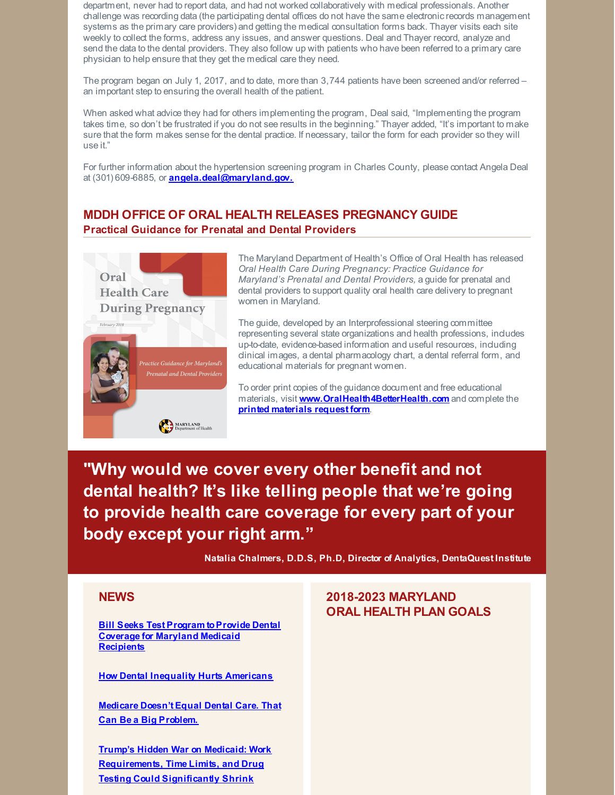department, never had to report data, and had not worked collaboratively with medical professionals. Another challenge was recording data (the participating dental offices do not have the same electronicrecords management systems as the primary care providers) and getting the medical consultation forms back. Thayer visits each site weekly to collect the forms, address any issues, and answer questions. Deal and Thayer record, analyze and send the data to the dental providers. They also follow up with patients who have been referred to a primary care physician to help ensure that they get the medical care they need.

The program began on July 1, 2017, and to date, more than 3,744 patients have been screened and/or referred – an important step to ensuring the overall health of the patient.

When asked what advice they had for others implementing the program, Deal said, "Implementing the program takes time, so don't be frustrated if you do not see results in the beginning." Thayer added, "It's important to make sure that the form makes sense for the dental practice. If necessary, tailor the form for each provider so they will use it."

For further information about the hypertension screening program in Charles County, please contact Angela Deal at (301) 609-6885, or **[angela.deal@maryland.gov.](mailto:angela.deal@maryland.gov)**

# **MDDH OFFICE OF ORAL HEALTH RELEASES PREGNANCY GUIDE Practical Guidance for Prenatal and Dental Providers**



The Maryland Department of Health's Office of Oral Health has released *Oral Health Care During Pregnancy: Practice Guidance for Maryland's Prenatal and Dental Providers,* a guide for prenatal and dental providers to support quality oral health care delivery to pregnant women in Maryland.

The guide, developed by an Interprofessional steering committee representing several state organizations and health professions, includes up-to-date, evidence-based information and useful resources, including clinical images, a dental pharmacology chart, a dental referral form, and educational materials for pregnant women.

To order print copies of the guidance document and free educational materials, visit **[www.OralHealth4BetterHealth.com](http://www.oralhealth4betterhealth.com/)** and complete the **printed [materials](https://phpa.health.maryland.gov/oralhealth/Documents/RequestForm.pdf) request form**.

**"Why would we cover every other benefit and not dental health? It's like telling people that we're going to provide health care coverage for every part of your body except your right arm."**

**Natalia Chalmers, D.D.S, Ph.D, Director of Analytics, DentaQuest Institute**

#### **NEWS**

**Bill Seeks Test Program to Provide Dental Coverage for Maryland Medicaid [Recipients](http://www.baltimoresun.com/news/maryland/politics/bs-md-dental-coverage-20180320-story.html)**

**How Dental Inequality Hurts [Americans](https://www.nytimes.com/2018/02/19/upshot/how-dental-inequality-hurts-americans.html)**

**[Medicare](https://www.nytimes.com/2018/03/19/upshot/medicare-missing-dental-coverage.html?partner=rss&emc=rss&smtyp=cur&smid=tw-nythealth) Doesn't Equal Dental Care. That Can Be a Big Problem.**

**Trump's Hidden War on Medicaid: Work [Requirements,](https://www.vox.com/policy-and-politics/2018/3/5/17040424/trump-medicaid-cuts-explained) Time Limits, and Drug Testing Could Significantly Shrink**

# **2018-2023 MARYLAND ORAL HEALTH PLAN GOALS**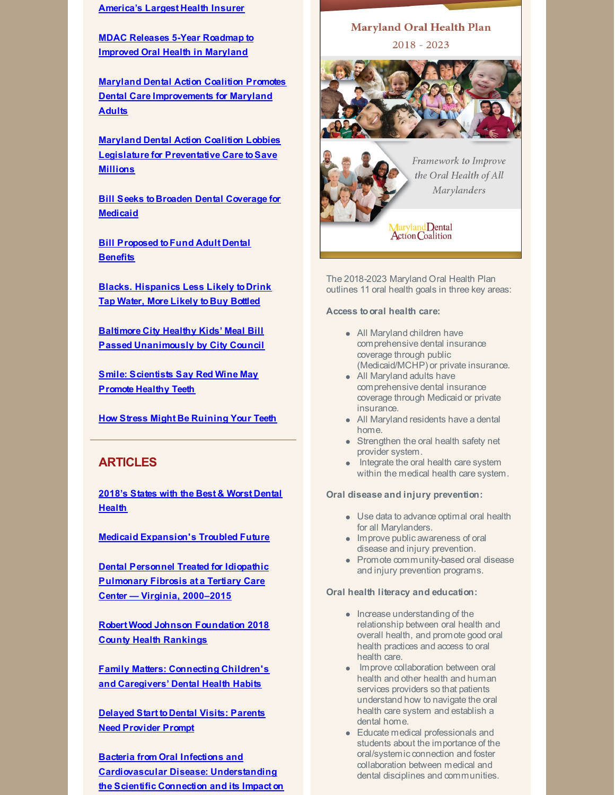#### **America's Largest Health Insurer**

**MDAC Releases 5-Year Roadmap to Improved Oral Health in [Maryland](http://www.mdac.us/news.aspx)**

**Maryland Dental Action Coalition Promotes Dental Care [Improvements](http://cnsmaryland.org/2018/01/25/maryland-dental-action-coalition-promotes-dental-care-improvements-for-maryland-adults/) for Maryland Adults**

**Maryland Dental Action Coalition Lobbies Legislature for [Preventative](http://www.eyeonannapolis.net/2018/02/maryland-dental-action-coalition-lobbies-legislature-for-preventative-care-to-save-millions/) Care toSave Millions**

**Bill Seeks to Broaden Dental [Coverage](http://www.somdnews.com/independent/news/local/bill-seeks-broader-dental-coverage-for-medicaid/article_f59b07ab-0631-59be-87ba-44ca8fbeb32f.html) for Medicaid**

**Bill [Proposed](https://www.abc2news.com/news/state/bill-proposed-to-fund-adultdental-benefits) toFund Adult Dental Benefits**

**Blacks. [Hispanics](http://news.psu.edu/story/505759/2018/02/23/research/blacks-hispanics-less-likely-drink-tap-water-more-likely-buy) Less Likely to Drink Tap Water, More Likely to Buy Bottled**

**Baltimore City Healthy Kids' Meal Bill Passed [Unanimously](http://www.sugarfreekidsmd.org/baltimore-city-kids-meal-bill-passed-unanimously-by-city-council/) by City Council**

**Smile: [Scientists](https://www.forbes.com/sites/thomaspellechia/2018/03/05/smile-scientists-say-red-wine-may-promote-healthy-teeth/#351f25c5399f) Say Red Wine May Promote Healthy Teeth**

**How Stress Might Be [Ruining](https://www.washingtonian.com/2018/03/07/stress-might-be-ruining-your-teeth/) Your Teeth**

## **ARTICLES**

**[2018's](https://wallethub.com/edu/states-with-best-worst-dental-health/31498/) States with the Best & Worst Dental Health**

**Medicaid [Expansion's](https://www.theatlantic.com/politics/archive/2018/03/the-future-of-the-medicaid-expansion/555080/) Troubled Future**

**Dental Personnel Treated for Idiopathic [Pulmonary](https://www.cdc.gov/mmwr/volumes/67/wr/mm6709a2.htm) Fibrosis at a Tertiary Care Center — Virginia, 2000–2015**

**Robert Wood Johnson [Foundation](http://www.countyhealthrankings.org/app/maryland/2018/downloads) 2018 County Health Rankings**

**Family Matters: [Connecting](https://www.coloradohealthinstitute.org/sites/default/files/file_attachments/Parent-child oral health 2018.pdf) Children's and Caregivers' Dental Health Habits**

**Delayed Start to Dental Visits: Parents Need [Provider](https://mottpoll.org/reports/delayed-start-dentist-visits-parents-need-provider-prompt) Prompt**

**Bacteria from Oral Infections and [Cardiovascular](http://www.dentistryiq.com/articles/2018/02/bacteria-from-oral-infections-and-cardiovascular-disease-understanding-the-scientific-connection-and-its-impact-on-clinical-dental-practice.html) Disease: Understanding the Scientific Connection and its Impact on**

# **Maryland Oral Health Plan**  $2018 - 2023$



Framework to Improve the Oral Health of All **Marylanders** 

Maryland Dental<br>Action Coalition

The 2018-2023 Maryland Oral Health Plan outlines 11 oral health goals in three key areas:

**Access tooral health care:**

- All Maryland children have comprehensive dental insurance coverage through public (Medicaid/MCHP) or private insurance.
- All Maryland adults have comprehensive dental insurance coverage through Medicaid or private insurance.
- All Maryland residents have a dental home.
- Strengthen the oral health safety net provider system.
- Integrate the oral health care system within the medical health care system.

**Oral disease and injury prevention:**

- Use data to advance optimal oral health for all Marylanders.
- Improve public awareness of oral disease and injury prevention.
- Promote community-based oral disease and injury prevention programs.

#### **Oral health literacy and education:**

- Increase understanding of the relationship between oral health and overall health, and promote good oral health practices and access to oral health care.
- Improve collaboration between oral health and other health and human services providers so that patients understand how to navigate the oral health care system and establish a dental home.
- Educate medical professionals and students about the importance of the oral/systemic connection and foster collaboration between medical and dental disciplines and communities.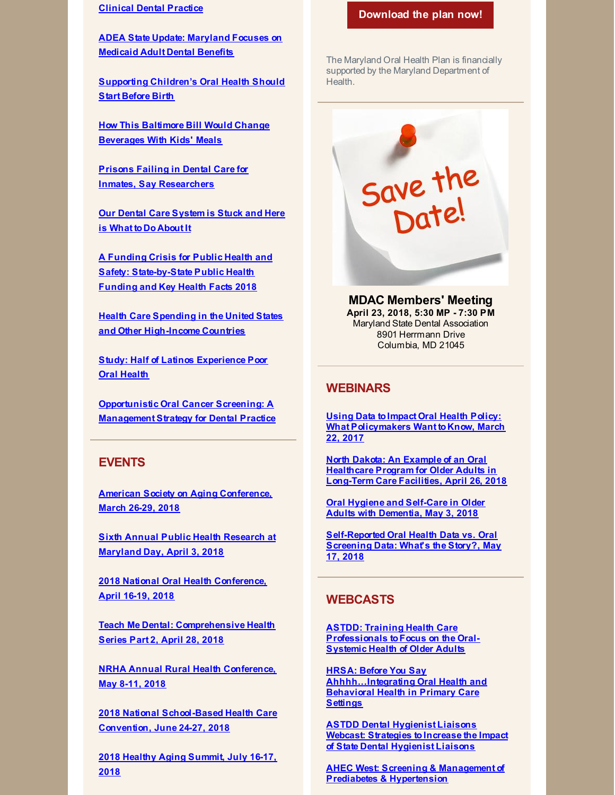#### **Clinical Dental Practice**

**ADEA State Update: [Maryland](http://www.adea.org/Blog.aspx?id=38572&blogid=20132) Focuses on Medicaid Adult Dental Benefits**

**[Supporting](http://policylab.chop.edu/blog/supporting-children?s-oral-health-should-start-birth) Children's Oral Health Should Start Before Birth**

**How This Baltimore Bill Would Change [Beverages](https://www.forbes.com/sites/brucelee/2018/02/28/how-this-baltimore-bill-would-change-beverages-with-kids-meals/#7959982a6eb9) With Kids' Meals**

**Prisons Failing in Dental Care for Inmates, Say [Researchers](https://thecrimereport.org/2018/03/05/prisons-failing-in-dental-care-for-inmates-say-researchers/)**

**Our Dental Care [System](http://jada.ada.org/article/S0002-8177(18)30010-2/fulltext) is Stuck and Here is What to Do About It**

**A Funding Crisis for Public Health and Safety: [State-by-State](http://healthyamericans.org/assets/files/TFAH-2018-InvestInAmericaRpt-FINAL.pdf) Public Health Funding and Key Health Facts 2018**

**Health Care Spending in the United States and Other [High-Income](https://jamanetwork.com/journals/jama/fullarticle/2674671) Countries**

**Study: Half of Latinos [Experience](https://www.drbicuspid.com/index.aspx?sec=nws&sub=rad&pag=dis&ItemID=322810) Poor Oral Health**

**[Opportunistic](https://oralcancerfoundation.org/wp-content/uploads/2017/01/screening-17.pdf) Oral Cancer Screening: A Management Strategy for Dental Practice**

#### **EVENTS**

**American Society on Aging [Conference,](http://www.asaging.org/aia) March 26-29, 2018**

**Sixth Annual Public Health Research at [Maryland](http://publichealthresearch.umd.edu/) Day, April 3, 2018**

**2018 National Oral Health [Conference,](http://www.nationaloralhealthconference.com/) April [16-19,](http://www.nationaloralhealthconference.com/) 2018**

**Teach Me Dental: [Comprehensive](http://teachmedental.com/?page_id=21158) Health Series Part 2, April 28, 2018**

**NRHA Annual Rural Health [Conference,](https://www.ruralhealthweb.org/events/event-details?eventId=18) May 8-11, 2018**

**2018 National [School-Based](http://www.sbh4all.org/training/convention/) Health Care Convention, June 24-27, 2018**

**2018 Healthy Aging [Summit,](https://www.eventscribe.com/2018/ACPM-HAC/index.asp?launcher=1) July 16-17, 2018**

#### **[Download](http://www.mdac.us/2018_01_14/MD_OHP_2018_0102.pdf) the plan now!**

The Maryland Oral Health Plan is financially supported by the Maryland Department of Health.

Save the<br>Date!

**MDAC Members' Meeting April 23, 2018, 5:30 MP - 7:30 PM** Maryland State Dental Association 8901 Herrmann Drive Columbia, MD 21045

#### **WEBINARS**

**Using Data toImpact Oral Health Policy: What [Policymakers](https://register.gotowebinar.com/register/113467790178040066) Want to Know, March 22, 2017**

**North Dakota: An Example of an Oral [Healthcare](https://register.gotowebinar.com/register/8490154300104671235) Program for Older Adults in Long-Term Care Facilities, April 26, 2018**

**Oral Hygiene and [Self-Care](https://register.gotowebinar.com/register/3483716119957874946) in Older Adults with Dementia, May 3, 2018**

**[Self-Reported](https://register.gotowebinar.com/register/7126456417032833537) Oral Health Data vs. Oral Screening Data: What's the Story?, May 17, 2018**

#### **WEBCASTS**

**ASTDD: Training Health Care [Professionals](https://astdd.adobeconnect.com/_a933923135/pqaw2gobxnl9/?proto=true) toFocus on the Oral-Systemic Health of Older Adults**

**HRSA: Before You Say [Ahhhh...Integrating](https://www.youtube.com/watch?v=HGeEyyRGYpM&feature=youtu.be) Oral Health and Behavioral Health in Primary Care Settings**

**ASTDD Dental Hygienist Liaisons Webcast: Strategies to Increase the Impact of State Dental Hygienist Liaisons**

**AHEC West: Screening & [Management](https://eliademy.com/catalog/catalog/product/view/sku/229adbfbf1) of Prediabetes & Hypertension**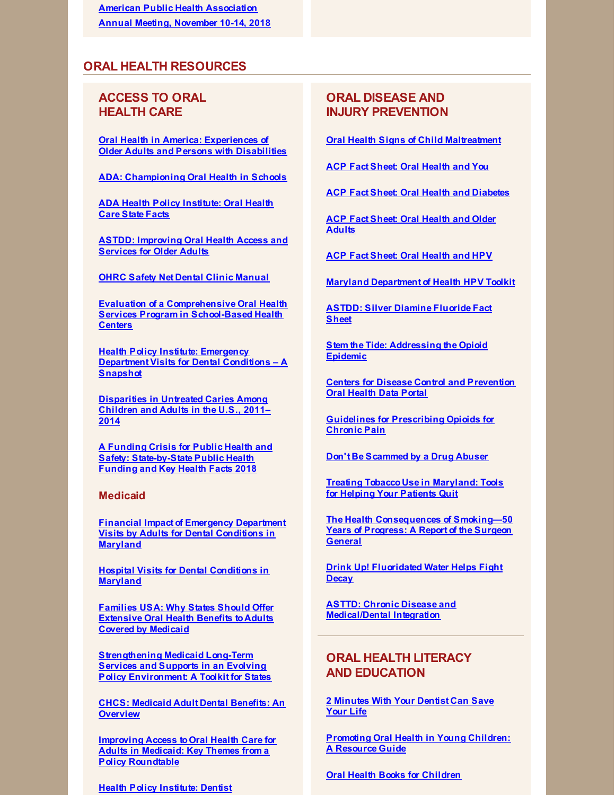**American Public Health [Association](https://www.apha.org/events-and-meetings/apha-calendar/2018/apha-annual-meeting-and-expo) Annual Meeting, November 10-14, 2018**

## **ORAL HEALTH RESOURCES**

# **ACCESS TO ORAL HEALTH CARE**

**Oral Health in America: [Experiences](http://www.nasuad.org/sites/nasuad/files/NASUAD Oral Health in America.pdf) of Older Adults and Persons with Disabilities**

**ADA: [Championing](https://www.ada.org/en/public-programs/championing-oral-health-in-schools) Oral Health in Schools**

**ADA Health Policy [Institute:](https://www.ada.org/en/science-research/health-policy-institute/oral-health-care-projects) Oral Health Care State Facts**

**ASTDD: [Improving](http://www.astdd.org/docs/improving-oral-health-access-and-services-for-older-adults.pdf) Oral Health Access and Services for Older Adults**

**OHRC Safety Net Dental Clinic [Manual](https://www.dentalclinicmanual.com/index.php)**

**Evaluation of a [Comprehensive](https://link.springer.com/article/10.1007/s10995-018-2478-1?utm_campaign=enews03152018&utm_medium=email&utm_source=govdelivery) Oral Health Services Program in School-Based Health Centers**

**Health Policy Institute: Emergency [Department](https://www.ada.org/~/media/ADA/Science and Research/HPI/Files/HPIgraphic_0218_2.pdf?la=en) Visits for Dental Conditions – A Snapshot**

**[Disparities](https://link.springer.com/epdf/10.1186/s12903-018-0493-7?author_access_token=FL9eGPSkRp5-4scxDYp-OW_BpE1tBhCbnbw3BuzI2ROJr1IKgLr2bueRVSv2xRfqeBpf9o5t5-Ak0Bl969nzLvMfdoD35ATU3_lC2ZJgABIg8qCDQafMRbDwf-MeLMcXgQRt6is8li_9pv7VvwXk6w==) in Untreated Caries Among Children and Adults in the U.S., 2011– 2014**

**A Funding Crisis for Public Health and Safety: [State-by-State](http://healthyamericans.org/assets/files/TFAH-2018-InvestInAmericaRpt-FINAL.pdf) Public Health Funding and Key Health Facts 2018**

#### **Medicaid**

**Financial Impact of [Emergency](http://www.mdac.us/pdf/Financial Impact of Hospital Visits for Dental Conditions in MD Revised Legislative.pdf) Department Visits by Adults for Dental Conditions in Maryland**

**Hospital Visits for Dental [Conditions](http://www.mdac.us/pdf/MDAC Aggregate Report Final.pdf) in Maryland**

**Families USA: Why States Should Offer [Extensive](http://familiesusa.org/product/why-states-should-offer-extensive-oral-health-benefits-adults-covered-medicaid) Oral Health Benefits to Adults Covered by Medicaid**

**[Strengthening](https://www.chcs.org/media/Strengthening-LTSS-Toolkit_120717.pdf) Medicaid Long-Term Services and Supports in an Evolving Policy Environment: A Toolkit for States**

**CHCS: Medicaid Adult Dental Benefits: An [Overview](https://www.chcs.org/media/Adult-Oral-Health-Fact-Sheet_011618.pdf)**

**Improving Access toOral Health Care for Adults in Medicaid: Key Themes from a Policy [Roundtable](https://www.kff.org/medicaid/report/improving-access-to-oral-health-care-for-adults-in-medicaid-key-themes-from-a-policy-roundtable/)**

**Health Policy [Institute:](https://www.ada.org/~/media/ADA/Science and Research/HPI/Files/HPIgraphic_0318_1.pdf?la=en) Dentist**

# **ORAL DISEASE AND INJURY PREVENTION**

**Oral Health Signs of Child [Maltreatment](http://hsicc.cmail20.com/t/ViewEmail/j/78C714B98ED96CE42540EF23F30FEDED/BD4A8E60F5F1CE747EEA1DAE616D4B3C)**

**ACP Fact Sheet: Oral [Health](https://www.acponline.org/system/files/documents/practice-resources/patient-resources/oral-health-and-you.pdf) and You**

**ACP Fact Sheet: Oral Health and [Diabetes](https://www.acponline.org/system/files/documents/practice-resources/patient-resources/oral-health-and-diabetes.pdf)**

**ACP Fact Sheet: Oral [Health](https://www.acponline.org/system/files/documents/practice-resources/patient-resources/oral-health-and-older-adults.pdf) and Older Adults**

**ACP Fact Sheet: Oral [Health](https://www.acponline.org/system/files/documents/practice-resources/patient-resources/oral-health-and-hpv.pdf) and HPV**

**Maryland [Department](https://phpa.health.maryland.gov/cancer/Pages/HPV.aspx) of Health HPV Toolkit**

**ASTDD: Silver [Diamine](http://www.astdd.org/www/docs/sdf-fact-sheet-09-07-2017.pdf) Fluoride Fact Sheet**

**Stem the Tide: [Addressing](https://www.aha.org/system/files/2018-02/stem-tide-addressing-opioid-epidemic-toolkit.pdf) the Opioid Epidemic**

**Centers for Disease Control and [Prevention](https://www.cdc.gov/oralhealthdata/index.html) Oral Health Data Portal**

**Guidelines for [Prescribing](https://www.cdc.gov/drugoverdose/pdf/guidelines_factsheet-a.pdf) Opioids for Chronic Pain**

**Don't Be [Scammed](https://www.deadiversion.usdoj.gov/pubs/brochures/drugabuser.htm) by a Drug Abuser**

**Treating Tobacco Use in [Maryland:](http://www.helppatientsquitmd.org/) Tools for Helping Your Patients Quit**

**The Health [Consequences](https://www.surgeongeneral.gov/library/reports/50-years-of-progress/index.html) of Smoking—50 Years of Progress: A Report of the Surgeon General**

**Drink Up! [Fluoridated](http://jada.ada.org/article/S0002-8177(15)00664-9/pdf) Water Helps Fight Decay**

**ASTTD: Chronic Disease and [Medical/Dental](https://www.astdd.org/chronic-disease/) Integration**

# **ORAL HEALTH LITERACY AND EDUCATION**

**2 [Minutes](https://phpa.health.maryland.gov/oralhealth/Pages/hypertension.aspx) With Your Dentist Can Save Your Life**

**[Promoting](https://www.mchoralhealth.org/PDFs/resguideyoungchildren.pdf) Oral Health in Young Children: A Resource Guide**

**Oral Health Books for [Children](http://guides.hshsl.umaryland.edu/dentistry/DentalBooksForChildren)**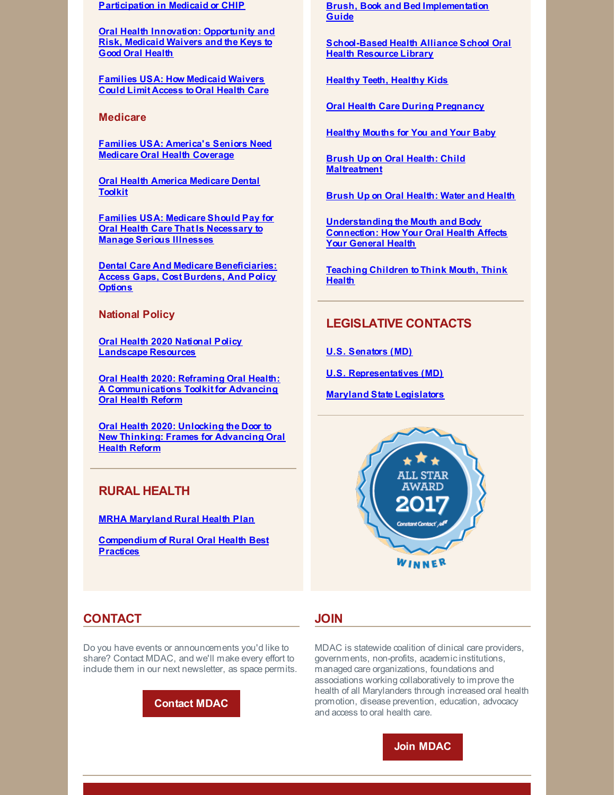**Participation in Medicaid or CHIP**

**Oral Health Innovation: [Opportunity](https://www.communitycatalyst.org/resources/publications/document/OH-innovation-and-1115-waivers_FINAL.pdf) and Risk, Medicaid Waivers and the Keys to Good Oral Health**

**Families USA: How [Medicaid](http://familiesusa.org/sites/default/files/product_documents/OH_How.Medicaid.Waivers.Could_.Limit_.Oral_.Health.Access_Factsheet.pdf) Waivers Could Limit Access toOral Health Care**

**Medicare**

**Families USA: [America's](http://familiesusa.org/sites/default/files/OH_Medicare-Oral-Health-Coverage_Factsheet.pdf) Seniors Need Medicare Oral Health Coverage**

**Oral Health America [Medicare](https://oralhealthamerica.org/participate/take-action/medicaretoolkit/) Dental Toolkit**

**Families USA: Medicare Should Pay for Oral Health Care That Is [Necessary](http://familiesusa.org/blog/2017/08/medicare-should-pay-oral-health-care-necessary-manage-serious-illnesses) to Manage Serious Illnesses**

**Dental Care And Medicare [Beneficiaries:](https://www.healthaffairs.org/doi/abs/10.1377/hlthaff.2016.0829) Access Gaps, Cost Burdens, And Policy Options**

**National Policy**

**Oral Health 2020 National Policy [Landscape](http://www.dentaquestfoundation.org/oh2020) Resources**

**Oral Health 2020: Reframing Oral Health: A [Communications](http://frameworksinstitute.org/toolkits/dentaquest/) Toolkit for Advancing Oral Health Reform**

**Oral Health 2020: Unlocking the Door to New Thinking: Frames for [Advancing](https://frameworksinstitute.org/assets/files/PDF_oralhealth/oral_health_messagememo_may_2017.pdf) Oral Health Reform**

# **RURAL HEALTH**

**MRHA [Maryland](http://www.mdruralhealth.org/maryland-rural-health-plan/) Rural Health Plan**

**[Compendium](https://www.ruralhealthweb.org/NRHA/media/Emerge_NRHA/Programs/NRHA-Rural-Oral-Health-Compendium.pdf) of Rural Oral Health Best Practices**

**Brush, Book and Bed [Implementation](https://www.aap.org/en-us/advocacy-and-policy/aap-health-initiatives/Oral-Health/Documents/BBBGuide.pdf) Guide**

**[School-Based](https://www.sbh4all.org/library/sboh/index.php) Health Alliance School Oral Health Resource Library**

**Healthy Teeth, [Healthy](http://www.healthyteethhealthykids.org/) Kids**

**Oral Health Care During [Pregnancy](https://phpa.health.maryland.gov/oralhealth/Pages/Oral_Health_and_Pregnancy.aspx)**

**[Healthy](https://www.youtube.com/watch?v=6Au7b4WczUs&feature=youtu.be) Mouths for You and Your Baby**

**Brush Up on Oral Health: Child [Maltreatment](https://eclkc.ohs.acf.hhs.gov/sites/default/files/pdf/buoh-2018-03.pdf)**

**Brush Up on Oral [Health:](https://eclkc.ohs.acf.hhs.gov/sites/default/files/pdf/buoh-2018-02-eng.pdf) Water and Health**

**[Understanding](http://www.worldoralhealthday.org/sites/default/files/assets/2018_WOHD-brochure-EN.pdf) the Mouth and Body Connection: How Your Oral Health Affects Your General Health**

**[Teaching](http://www.worldoralhealthday.org/sites/default/files/assets/WOHD18-infographic-EN.pdf) Children toThink Mouth, Think Health**

#### **LEGISLATIVE CONTACTS**

**U.S. [Senators](https://www.senate.gov/general/contact_information/senators_cfm.cfm?State=MD) (MD)**

**U.S. [Representatives](https://www.house.gov/representatives#state-maryland) (MD)**

**Maryland State [Legislators](http://mgaleg.maryland.gov/webmga/frmmain.aspx?pid=legisrpage)**



#### **CONTACT**

Do you have events or announcements you'd like to share? Contact MDAC, and we'll make every effort to include them in our next newsletter, as space permits.



#### **JOIN**

MDAC is statewide coalition of clinical care providers, governments, non-profits, academicinstitutions, managed care organizations, foundations and associations working collaboratively to improve the health of all Marylanders through increased oral health promotion, disease prevention, education, advocacy and access to oral health care.